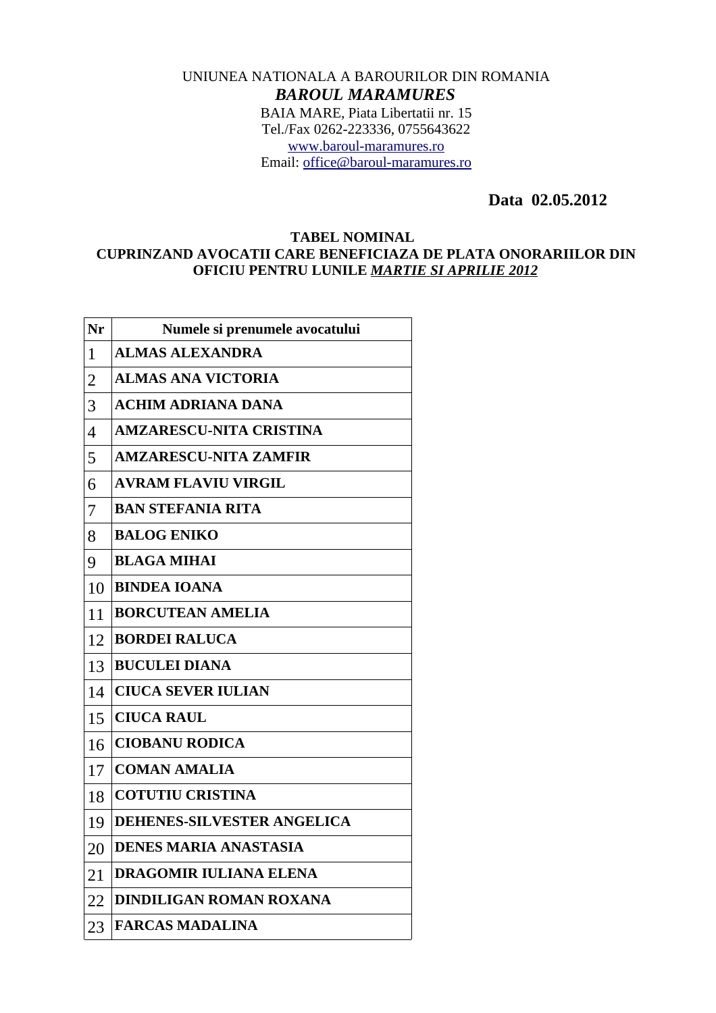## UNIUNEA NATIONALA A BAROURILOR DIN ROMANIA *BAROUL MARAMURES* BAIA MARE, Piata Libertatii nr. 15 Tel./Fax 0262-223336, 0755643622 [www.baroul-maramures.ro](http://www.baroul-maramures.ro/) Email: [office@baroul-maramures.ro](mailto:office@baroul-maramures.ro)

 **Data 02.05.2012**

## **TABEL NOMINAL CUPRINZAND AVOCATII CARE BENEFICIAZA DE PLATA ONORARIILOR DIN OFICIU PENTRU LUNILE** *MARTIE SI APRILIE 2012*

| Nr             | Numele si prenumele avocatului    |
|----------------|-----------------------------------|
| $\mathbf{1}$   | <b>ALMAS ALEXANDRA</b>            |
| $\overline{2}$ | <b>ALMAS ANA VICTORIA</b>         |
| 3              | <b>ACHIM ADRIANA DANA</b>         |
| $\overline{4}$ | <b>AMZARESCU-NITA CRISTINA</b>    |
| 5              | <b>AMZARESCU-NITA ZAMFIR</b>      |
| 6              | <b>AVRAM FLAVIU VIRGIL</b>        |
| 7              | <b>BAN STEFANIA RITA</b>          |
| 8              | <b>BALOG ENIKO</b>                |
| 9              | <b>BLAGA MIHAI</b>                |
| 10             | <b>BINDEA IOANA</b>               |
| 11             | <b>BORCUTEAN AMELIA</b>           |
| 12             | <b>BORDEI RALUCA</b>              |
| 13             | <b>BUCULEI DIANA</b>              |
| 14             | <b>CIUCA SEVER IULIAN</b>         |
| 15             | <b>CIUCA RAUL</b>                 |
| 16             | <b>CIOBANU RODICA</b>             |
| 17             | <b>COMAN AMALIA</b>               |
| 18             | <b>COTUTIU CRISTINA</b>           |
| 19             | <b>DEHENES-SILVESTER ANGELICA</b> |
| 20             | DENES MARIA ANASTASIA             |
| 21             | <b>DRAGOMIR IULIANA ELENA</b>     |
| 22             | <b>DINDILIGAN ROMAN ROXANA</b>    |
| 23             | <b>FARCAS MADALINA</b>            |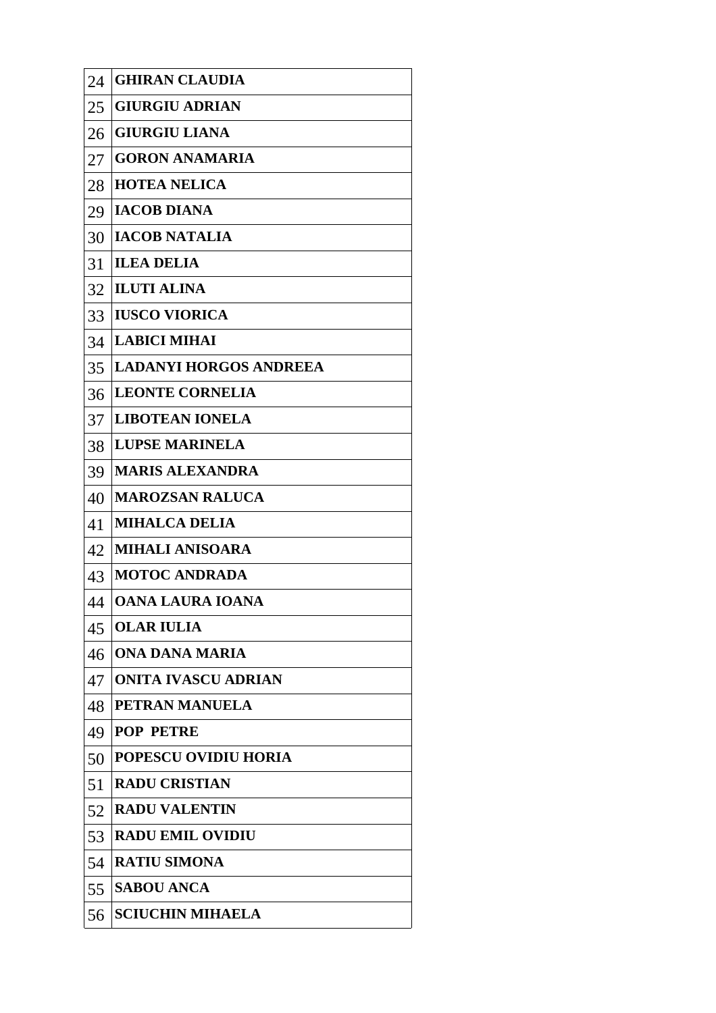| 24 | <b>GHIRAN CLAUDIA</b>         |
|----|-------------------------------|
| 25 | <b>GIURGIU ADRIAN</b>         |
| 26 | <b>GIURGIU LIANA</b>          |
| 27 | <b>GORON ANAMARIA</b>         |
| 28 | <b>HOTEA NELICA</b>           |
| 29 | <b>IACOB DIANA</b>            |
| 30 | <b>IACOB NATALIA</b>          |
| 31 | <b>ILEA DELIA</b>             |
| 32 | <b>ILUTI ALINA</b>            |
| 33 | <b>IUSCO VIORICA</b>          |
| 34 | <b>LABICI MIHAI</b>           |
| 35 | <b>LADANYI HORGOS ANDREEA</b> |
| 36 | <b>LEONTE CORNELIA</b>        |
| 37 | <b>LIBOTEAN IONELA</b>        |
| 38 | <b>LUPSE MARINELA</b>         |
| 39 | <b>MARIS ALEXANDRA</b>        |
| 40 | <b>MAROZSAN RALUCA</b>        |
| 41 | <b>MIHALCA DELIA</b>          |
| 42 | <b>MIHALI ANISOARA</b>        |
| 43 | <b>MOTOC ANDRADA</b>          |
| 44 | OANA LAURA IOANA              |
| 45 | <b>OLAR IULIA</b>             |
| 46 | ONA DANA MARIA                |
| 47 | <b>ONITA IVASCU ADRIAN</b>    |
| 48 | PETRAN MANUELA                |
| 49 | <b>POP PETRE</b>              |
| 50 | POPESCU OVIDIU HORIA          |
| 51 | <b>RADU CRISTIAN</b>          |
| 52 | <b>RADU VALENTIN</b>          |
| 53 | <b>RADU EMIL OVIDIU</b>       |
| 54 | <b>RATIU SIMONA</b>           |
| 55 | <b>SABOU ANCA</b>             |
| 56 | <b>SCIUCHIN MIHAELA</b>       |